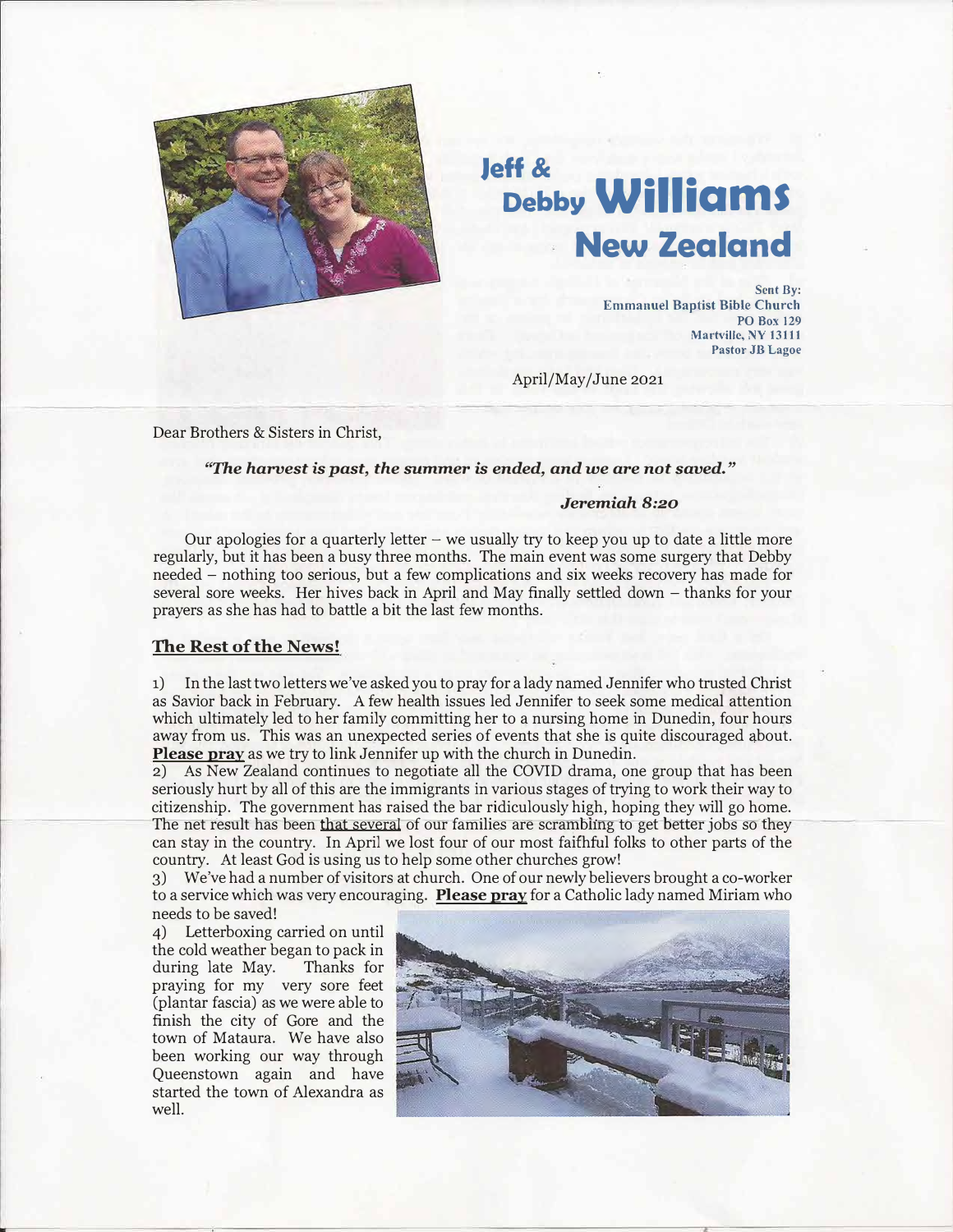

## **Jeff & Debby Williams New Zealand**

**Sent By: Emmanuel Baptist Bible Church PO Box 129 Martvillc, NY 13111 Pastor JB Lagoe** 

April/May/June 2021

Dear Brothers & Sisters in Christ,

## *"The harvest is past, the summer is ended, and we are not saved."*

## *Jeremiah 8:20*

Our apologies for a quarterly letter  $-$  we usually try to keep you up to date a little more regularly, but it has been a busy three months. The main event was some surgery that Debby needed - nothing too serious, but a few complications and six weeks recovery has made for several sore weeks. Her hives back in April and May finally settled down – thanks for your prayers as she has had to battle a bit the last few months.

## **The Rest of the News!**

1) In the last two letters we've asked you to pray for a lady named Jennifer who trusted Christ as Savior back in February. A few health issues led Jennifer to seek some medical attention which ultimately led to her family committing her to a nursing home in Dunedin, four hours away from us. This was an unexpected series of events that she is quite discouraged �bout. Please pray as we try to link Jennifer up with the church in Dunedin.

2) As New Zealand continues to negotiate all the COVID drama, one group that has been seriously hurt by all of this are the immigrants in various stages of trying to work their way to citizenship. The government has raised the bar ridiculously high, hoping they will go home. The net result has been that several of our families are scrambling to get better jobs so they can stay in the country. In April we lost four of our most faithful folks to other parts of the country. At least God is using us to help some other churches grow!

3) We've had a number of visitors at church. One of our newly believers brought a co-worker to a service which was very encouraging. **Please pray** for a Catholic lady named Miriam who needs to be saved!

4) Letterboxing carried on until the cold weather began to pack in during late May. Thanks for praying for my very sore feet (plantar fascia) as we were able to finish the city of Gore and the town of Mataura. We have also been working our way through Queenstown again and have started the town of Alexandra as well.